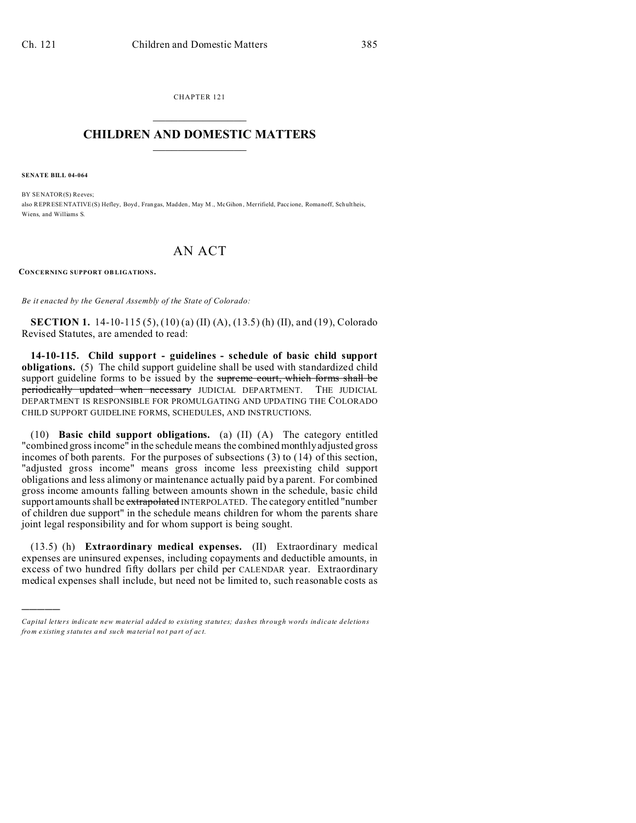CHAPTER 121  $\overline{\phantom{a}}$  , where  $\overline{\phantom{a}}$ 

## **CHILDREN AND DOMESTIC MATTERS**  $\_$   $\_$

**SENATE BILL 04-064**

)))))

BY SENATOR(S) Reeves: also REPRESENTATIVE(S) Hefley, Boyd , Frangas, Madden, May M., McGihon , Merrifield, Pacc ione, Romanoff, Schultheis, Wiens, and Williams S.

## AN ACT

**CONCERNING SUPPORT OB LIGATIONS.**

*Be it enacted by the General Assembly of the State of Colorado:*

**SECTION 1.** 14-10-115 (5), (10) (a) (II) (A), (13.5) (h) (II), and (19), Colorado Revised Statutes, are amended to read:

**14-10-115. Child support - guidelines - schedule of basic child support obligations.** (5) The child support guideline shall be used with standardized child support guideline forms to be issued by the supreme court, which forms shall be periodically updated when necessary JUDICIAL DEPARTMENT. THE JUDICIAL DEPARTMENT IS RESPONSIBLE FOR PROMULGATING AND UPDATING THE COLORADO CHILD SUPPORT GUIDELINE FORMS, SCHEDULES, AND INSTRUCTIONS.

(10) **Basic child support obligations.** (a) (II) (A) The category entitled "combined gross income" in the schedule means the combined monthly adjusted gross incomes of both parents. For the purposes of subsections (3) to (14) of this section, "adjusted gross income" means gross income less preexisting child support obligations and less alimony or maintenance actually paid by a parent. For combined gross income amounts falling between amounts shown in the schedule, basic child support amounts shall be extrapolated INTERPOLATED. The category entitled "number of children due support" in the schedule means children for whom the parents share joint legal responsibility and for whom support is being sought.

(13.5) (h) **Extraordinary medical expenses.** (II) Extraordinary medical expenses are uninsured expenses, including copayments and deductible amounts, in excess of two hundred fifty dollars per child per CALENDAR year. Extraordinary medical expenses shall include, but need not be limited to, such reasonable costs as

*Capital letters indicate new material added to existing statutes; dashes through words indicate deletions from e xistin g statu tes a nd such ma teria l no t pa rt of ac t.*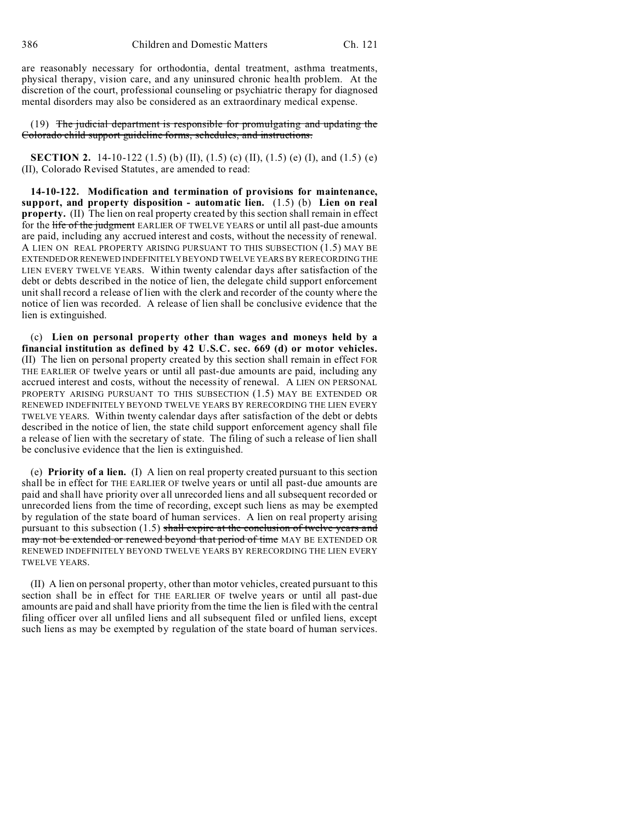are reasonably necessary for orthodontia, dental treatment, asthma treatments, physical therapy, vision care, and any uninsured chronic health problem. At the discretion of the court, professional counseling or psychiatric therapy for diagnosed mental disorders may also be considered as an extraordinary medical expense.

(19) The judicial department is responsible for promulgating and updating the Colorado child support guideline forms, schedules, and instructions.

**SECTION 2.** 14-10-122 (1.5) (b) (II), (1.5) (c) (II), (1.5) (e) (I), and (1.5) (e) (II), Colorado Revised Statutes, are amended to read:

**14-10-122. Modification and termination of provisions for maintenance, support, and property disposition - automatic lien.** (1.5) (b) **Lien on real property.** (II) The lien on real property created by this section shall remain in effect for the life of the judgment EARLIER OF TWELVE YEARS or until all past-due amounts are paid, including any accrued interest and costs, without the necessity of renewal. A LIEN ON REAL PROPERTY ARISING PURSUANT TO THIS SUBSECTION (1.5) MAY BE EXTENDED OR RENEWED INDEFINITELY BEYOND TWELVE YEARS BY RERECORDING THE LIEN EVERY TWELVE YEARS. Within twenty calendar days after satisfaction of the debt or debts described in the notice of lien, the delegate child support enforcement unit shall record a release of lien with the clerk and recorder of the county where the notice of lien was recorded. A release of lien shall be conclusive evidence that the lien is extinguished.

(c) **Lien on personal property other than wages and moneys held by a financial institution as defined by 42 U.S.C. sec. 669 (d) or motor vehicles.** (II) The lien on personal property created by this section shall remain in effect FOR THE EARLIER OF twelve years or until all past-due amounts are paid, including any accrued interest and costs, without the necessity of renewal. A LIEN ON PERSONAL PROPERTY ARISING PURSUANT TO THIS SUBSECTION (1.5) MAY BE EXTENDED OR RENEWED INDEFINITELY BEYOND TWELVE YEARS BY RERECORDING THE LIEN EVERY TWELVE YEARS. Within twenty calendar days after satisfaction of the debt or debts described in the notice of lien, the state child support enforcement agency shall file a release of lien with the secretary of state. The filing of such a release of lien shall be conclusive evidence that the lien is extinguished.

(e) **Priority of a lien.** (I) A lien on real property created pursuant to this section shall be in effect for THE EARLIER OF twelve years or until all past-due amounts are paid and shall have priority over all unrecorded liens and all subsequent recorded or unrecorded liens from the time of recording, except such liens as may be exempted by regulation of the state board of human services. A lien on real property arising pursuant to this subsection  $(1.5)$  shall expire at the conclusion of twelve years and may not be extended or renewed beyond that period of time MAY BE EXTENDED OR RENEWED INDEFINITELY BEYOND TWELVE YEARS BY RERECORDING THE LIEN EVERY TWELVE YEARS.

(II) A lien on personal property, other than motor vehicles, created pursuant to this section shall be in effect for THE EARLIER OF twelve years or until all past-due amounts are paid and shall have priority from the time the lien is filed with the central filing officer over all unfiled liens and all subsequent filed or unfiled liens, except such liens as may be exempted by regulation of the state board of human services.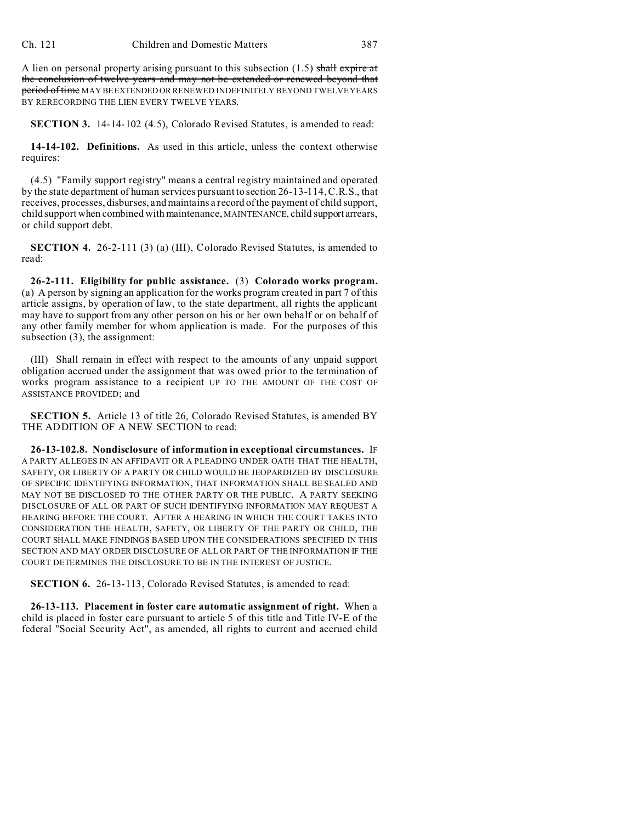A lien on personal property arising pursuant to this subsection  $(1.5)$  shall expire at the conclusion of twelve years and may not be extended or renewed beyond that period of time MAY BE EXTENDED OR RENEWED INDEFINITELY BEYOND TWELVE YEARS BY RERECORDING THE LIEN EVERY TWELVE YEARS.

**SECTION 3.** 14-14-102 (4.5), Colorado Revised Statutes, is amended to read:

**14-14-102. Definitions.** As used in this article, unless the context otherwise requires:

(4.5) "Family support registry" means a central registry maintained and operated by the state department of human services pursuant to section 26-13-114, C.R.S., that receives, processes, disburses, and maintains a record of the payment of child support, child support when combined with maintenance, MAINTENANCE, child support arrears, or child support debt.

**SECTION 4.** 26-2-111 (3) (a) (III), Colorado Revised Statutes, is amended to read:

**26-2-111. Eligibility for public assistance.** (3) **Colorado works program.** (a) A person by signing an application for the works program created in part 7 of this article assigns, by operation of law, to the state department, all rights the applicant may have to support from any other person on his or her own behalf or on behalf of any other family member for whom application is made. For the purposes of this subsection (3), the assignment:

(III) Shall remain in effect with respect to the amounts of any unpaid support obligation accrued under the assignment that was owed prior to the termination of works program assistance to a recipient UP TO THE AMOUNT OF THE COST OF ASSISTANCE PROVIDED; and

**SECTION 5.** Article 13 of title 26, Colorado Revised Statutes, is amended BY THE ADDITION OF A NEW SECTION to read:

**26-13-102.8. Nondisclosure of information in exceptional circumstances.** IF A PARTY ALLEGES IN AN AFFIDAVIT OR A PLEADING UNDER OATH THAT THE HEALTH, SAFETY, OR LIBERTY OF A PARTY OR CHILD WOULD BE JEOPARDIZED BY DISCLOSURE OF SPECIFIC IDENTIFYING INFORMATION, THAT INFORMATION SHALL BE SEALED AND MAY NOT BE DISCLOSED TO THE OTHER PARTY OR THE PUBLIC. A PARTY SEEKING DISCLOSURE OF ALL OR PART OF SUCH IDENTIFYING INFORMATION MAY REQUEST A HEARING BEFORE THE COURT. AFTER A HEARING IN WHICH THE COURT TAKES INTO CONSIDERATION THE HEALTH, SAFETY, OR LIBERTY OF THE PARTY OR CHILD, THE COURT SHALL MAKE FINDINGS BASED UPON THE CONSIDERATIONS SPECIFIED IN THIS SECTION AND MAY ORDER DISCLOSURE OF ALL OR PART OF THE INFORMATION IF THE COURT DETERMINES THE DISCLOSURE TO BE IN THE INTEREST OF JUSTICE.

**SECTION 6.** 26-13-113, Colorado Revised Statutes, is amended to read:

**26-13-113. Placement in foster care automatic assignment of right.** When a child is placed in foster care pursuant to article 5 of this title and Title IV-E of the federal "Social Security Act", as amended, all rights to current and accrued child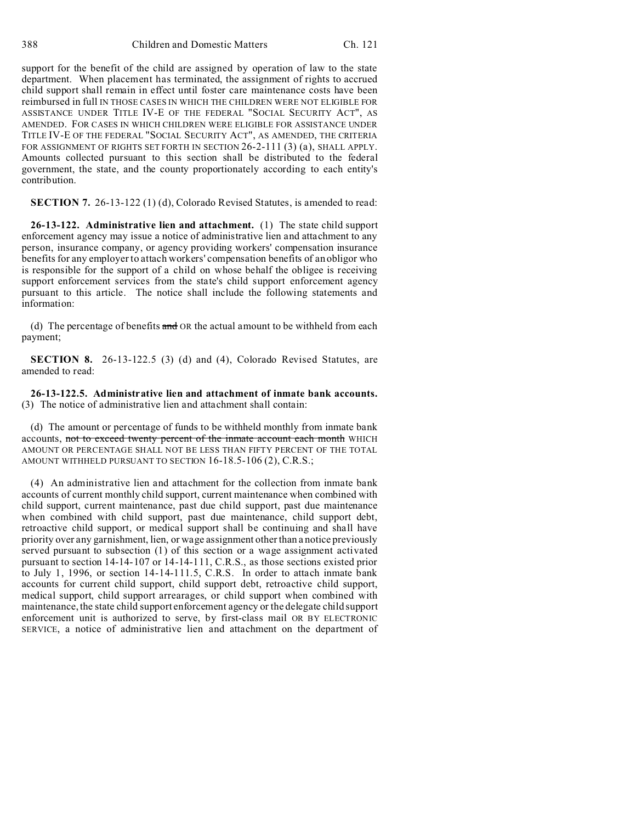support for the benefit of the child are assigned by operation of law to the state department. When placement has terminated, the assignment of rights to accrued child support shall remain in effect until foster care maintenance costs have been reimbursed in full IN THOSE CASES IN WHICH THE CHILDREN WERE NOT ELIGIBLE FOR ASSISTANCE UNDER TITLE IV-E OF THE FEDERAL "SOCIAL SECURITY ACT", AS AMENDED. FOR CASES IN WHICH CHILDREN WERE ELIGIBLE FOR ASSISTANCE UNDER TITLE IV-E OF THE FEDERAL "SOCIAL SECURITY ACT", AS AMENDED, THE CRITERIA FOR ASSIGNMENT OF RIGHTS SET FORTH IN SECTION 26-2-111 (3) (a), SHALL APPLY. Amounts collected pursuant to this section shall be distributed to the federal government, the state, and the county proportionately according to each entity's contribution.

**SECTION 7.** 26-13-122 (1) (d), Colorado Revised Statutes, is amended to read:

**26-13-122. Administrative lien and attachment.** (1) The state child support enforcement agency may issue a notice of administrative lien and attachment to any person, insurance company, or agency providing workers' compensation insurance benefits for any employer to attach workers' compensation benefits of an obligor who is responsible for the support of a child on whose behalf the obligee is receiving support enforcement services from the state's child support enforcement agency pursuant to this article. The notice shall include the following statements and information:

(d) The percentage of benefits  $\frac{d}{dt}$  OR the actual amount to be withheld from each payment;

**SECTION 8.** 26-13-122.5 (3) (d) and (4), Colorado Revised Statutes, are amended to read:

**26-13-122.5. Administrative lien and attachment of inmate bank accounts.** (3) The notice of administrative lien and attachment shall contain:

(d) The amount or percentage of funds to be withheld monthly from inmate bank accounts, not to exceed twenty percent of the inmate account each month WHICH AMOUNT OR PERCENTAGE SHALL NOT BE LESS THAN FIFTY PERCENT OF THE TOTAL AMOUNT WITHHELD PURSUANT TO SECTION 16-18.5-106 (2), C.R.S.;

(4) An administrative lien and attachment for the collection from inmate bank accounts of current monthly child support, current maintenance when combined with child support, current maintenance, past due child support, past due maintenance when combined with child support, past due maintenance, child support debt, retroactive child support, or medical support shall be continuing and shall have priority over any garnishment, lien, or wage assignment other than a notice previously served pursuant to subsection (1) of this section or a wage assignment activated pursuant to section 14-14-107 or 14-14-111, C.R.S., as those sections existed prior to July 1, 1996, or section 14-14-111.5, C.R.S. In order to attach inmate bank accounts for current child support, child support debt, retroactive child support, medical support, child support arrearages, or child support when combined with maintenance, the state child support enforcement agency or the delegate child support enforcement unit is authorized to serve, by first-class mail OR BY ELECTRONIC SERVICE, a notice of administrative lien and attachment on the department of